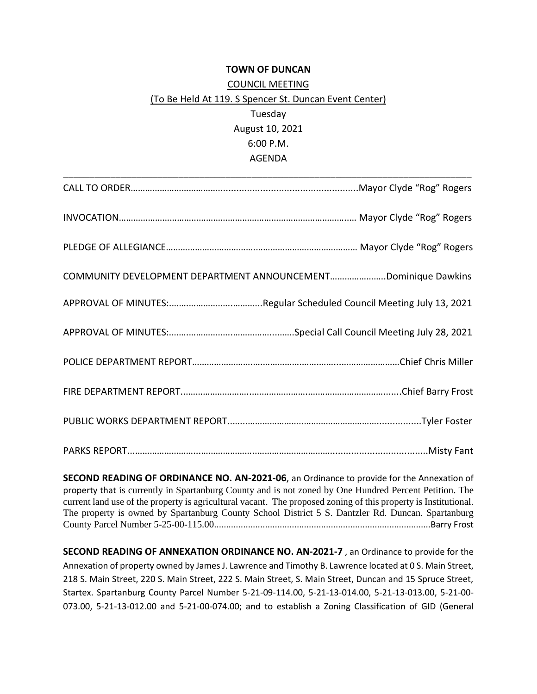## **TOWN OF DUNCAN**

## COUNCIL MEETING (To Be Held At 119. S Spencer St. Duncan Event Center) Tuesday August 10, 2021 6:00 P.M. AGENDA

| COMMUNITY DEVELOPMENT DEPARTMENT ANNOUNCEMENTDominique Dawkins |
|----------------------------------------------------------------|
|                                                                |
|                                                                |
|                                                                |
|                                                                |
|                                                                |
|                                                                |

**SECOND READING OF ORDINANCE NO. AN-2021-06**, an Ordinance to provide for the Annexation of property that is currently in Spartanburg County and is not zoned by One Hundred Percent Petition. The current land use of the property is agricultural vacant. The proposed zoning of this property is Institutional. The property is owned by Spartanburg County School District 5 S. Dantzler Rd. Duncan. Spartanburg County Parcel Number 5-25-00-115.00.........................................................................................Barry Frost

**SECOND READING OF ANNEXATION ORDINANCE NO. AN-2021-7** , an Ordinance to provide for the Annexation of property owned by James J. Lawrence and Timothy B. Lawrence located at 0 S. Main Street, 218 S. Main Street, 220 S. Main Street, 222 S. Main Street, S. Main Street, Duncan and 15 Spruce Street, Startex. Spartanburg County Parcel Number 5-21-09-114.00, 5-21-13-014.00, 5-21-13-013.00, 5-21-00- 073.00, 5-21-13-012.00 and 5-21-00-074.00; and to establish a Zoning Classification of GID (General